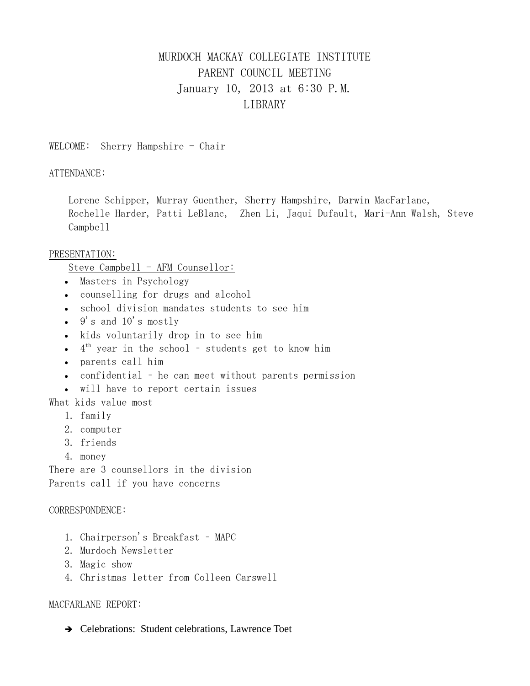# MURDOCH MACKAY COLLEGIATE INSTITUTE PARENT COUNCIL MEETING January 10, 2013 at 6:30 P.M. LIBRARY

WELCOME: Sherry Hampshire - Chair

ATTENDANCE:

Lorene Schipper, Murray Guenther, Sherry Hampshire, Darwin MacFarlane, Rochelle Harder, Patti LeBlanc, Zhen Li, Jaqui Dufault, Mari-Ann Walsh, Steve Campbell

### PRESENTATION:

Steve Campbell - AFM Counsellor:

- Masters in Psychology
- counselling for drugs and alcohol
- school division mandates students to see him
- $\bullet$  9's and 10's mostly
- kids voluntarily drop in to see him
- $\bullet$  4<sup>th</sup> year in the school students get to know him
- parents call him
- confidential he can meet without parents permission
- will have to report certain issues

What kids value most

- 1. family
- 2. computer
- 3. friends
- 4. money

There are 3 counsellors in the division Parents call if you have concerns

#### CORRESPONDENCE:

- 1. Chairperson's Breakfast MAPC
- 2. Murdoch Newsletter
- 3. Magic show
- 4. Christmas letter from Colleen Carswell

### MACFARLANE REPORT:

→ Celebrations: Student celebrations, Lawrence Toet